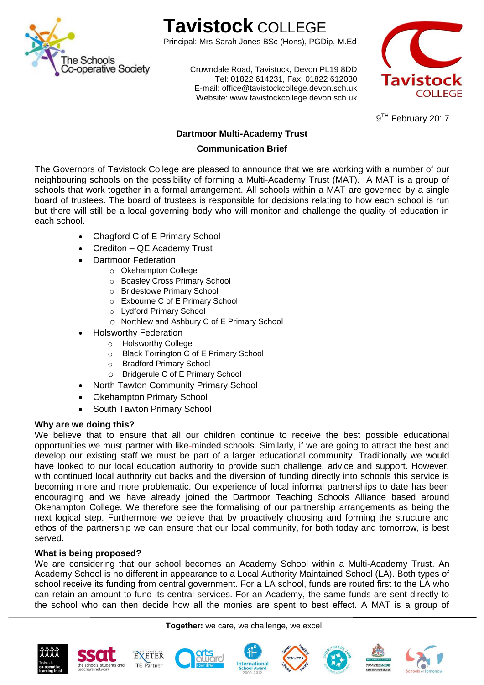

# **Tavistock** COLLEGE

Principal: Mrs Sarah Jones BSc (Hons), PGDip, M.Ed

Crowndale Road, Tavistock, Devon PL19 8DD Tel: 01822 614231, Fax: 01822 612030 E-mail: office@tavistockcollege.devon.sch.uk Website: www.tavistockcollege.devon.sch.uk



9<sup>TH</sup> February 2017

# **Dartmoor Multi-Academy Trust**

# **Communication Brief**

The Governors of Tavistock College are pleased to announce that we are working with a number of our neighbouring schools on the possibility of forming a Multi-Academy Trust (MAT). A MAT is a group of schools that work together in a formal arrangement. All schools within a MAT are governed by a single board of trustees. The board of trustees is responsible for decisions relating to how each school is run but there will still be a local governing body who will monitor and challenge the quality of education in each school.

- Chagford C of E Primary School
- Crediton QE Academy Trust
- Dartmoor Federation
	- o Okehampton College
	- o Boasley Cross Primary School
	- o Bridestowe Primary School
	- o Exbourne C of E Primary School
	- o Lydford Primary School
		- o Northlew and Ashbury C of E Primary School
	- Holsworthy Federation
		- o Holsworthy College
		- o Black Torrington C of E Primary School
		- o Bradford Primary School
		- o Bridgerule C of E Primary School
- North Tawton Community Primary School
	- Okehampton Primary School
- South Tawton Primary School

## **Why are we doing this?**

We believe that to ensure that all our children continue to receive the best possible educational opportunities we must partner with like-minded schools. Similarly, if we are going to attract the best and develop our existing staff we must be part of a larger educational community. Traditionally we would have looked to our local education authority to provide such challenge, advice and support. However, with continued local authority cut backs and the diversion of funding directly into schools this service is becoming more and more problematic. Our experience of local informal partnerships to date has been encouraging and we have already joined the Dartmoor Teaching Schools Alliance based around Okehampton College. We therefore see the formalising of our partnership arrangements as being the next logical step. Furthermore we believe that by proactively choosing and forming the structure and ethos of the partnership we can ensure that our local community, for both today and tomorrow, is best served.

## **What is being proposed?**

We are considering that our school becomes an Academy School within a Multi-Academy Trust. An Academy School is no different in appearance to a Local Authority Maintained School (LA). Both types of school receive its funding from central government. For a LA school, funds are routed first to the LA who can retain an amount to fund its central services. For an Academy, the same funds are sent directly to the school who can then decide how all the monies are spent to best effect. A MAT is a group of

**Together:** we care, we challenge, we excel